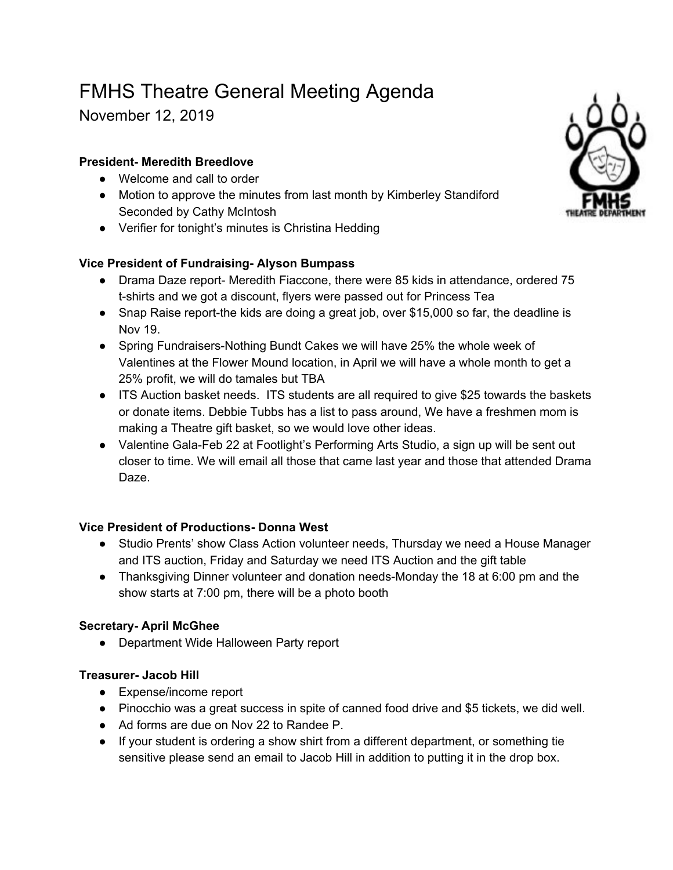# FMHS Theatre General Meeting Agenda

November 12, 2019

# **President- Meredith Breedlove**

- Welcome and call to order
- Motion to approve the minutes from last month by Kimberley Standiford Seconded by Cathy McIntosh
- Verifier for tonight's minutes is Christina Hedding

# **Vice President of Fundraising- Alyson Bumpass**

- Drama Daze report- Meredith Fiaccone, there were 85 kids in attendance, ordered 75 t-shirts and we got a discount, flyers were passed out for Princess Tea
- Snap Raise report-the kids are doing a great job, over \$15,000 so far, the deadline is Nov 19.
- Spring Fundraisers-Nothing Bundt Cakes we will have 25% the whole week of Valentines at the Flower Mound location, in April we will have a whole month to get a 25% profit, we will do tamales but TBA
- ITS Auction basket needs. ITS students are all required to give \$25 towards the baskets or donate items. Debbie Tubbs has a list to pass around, We have a freshmen mom is making a Theatre gift basket, so we would love other ideas.
- Valentine Gala-Feb 22 at Footlight's Performing Arts Studio, a sign up will be sent out closer to time. We will email all those that came last year and those that attended Drama Daze.

### **Vice President of Productions- Donna West**

- Studio Prents' show Class Action volunteer needs, Thursday we need a House Manager and ITS auction, Friday and Saturday we need ITS Auction and the gift table
- Thanksgiving Dinner volunteer and donation needs-Monday the 18 at 6:00 pm and the show starts at 7:00 pm, there will be a photo booth

# **Secretary- April McGhee**

● Department Wide Halloween Party report

### **Treasurer- Jacob Hill**

- Expense/income report
- Pinocchio was a great success in spite of canned food drive and \$5 tickets, we did well.
- Ad forms are due on Nov 22 to Randee P.
- If your student is ordering a show shirt from a different department, or something tie sensitive please send an email to Jacob Hill in addition to putting it in the drop box.

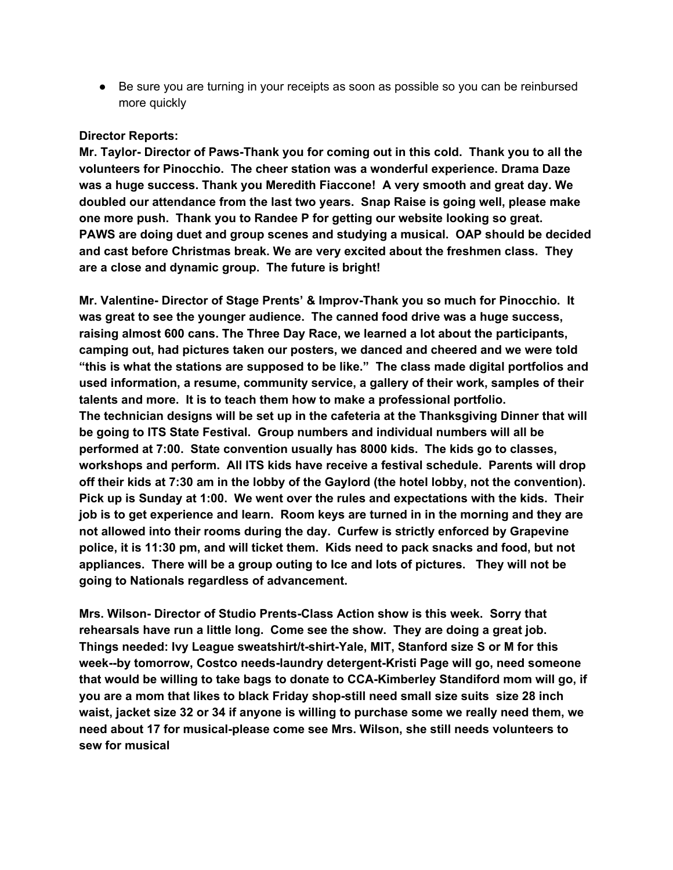● Be sure you are turning in your receipts as soon as possible so you can be reinbursed more quickly

#### **Director Reports:**

**Mr. Taylor- Director of Paws-Thank you for coming out in this cold. Thank you to all the volunteers for Pinocchio. The cheer station was a wonderful experience. Drama Daze was a huge success. Thank you Meredith Fiaccone! A very smooth and great day. We doubled our attendance from the last two years. Snap Raise is going well, please make one more push. Thank you to Randee P for getting our website looking so great. PAWS are doing duet and group scenes and studying a musical. OAP should be decided and cast before Christmas break. We are very excited about the freshmen class. They are a close and dynamic group. The future is bright!**

**Mr. Valentine- Director of Stage Prents' & Improv-Thank you so much for Pinocchio. It was great to see the younger audience. The canned food drive was a huge success, raising almost 600 cans. The Three Day Race, we learned a lot about the participants, camping out, had pictures taken our posters, we danced and cheered and we were told "this is what the stations are supposed to be like." The class made digital portfolios and used information, a resume, community service, a gallery of their work, samples of their talents and more. It is to teach them how to make a professional portfolio. The technician designs will be set up in the cafeteria at the Thanksgiving Dinner that will be going to ITS State Festival. Group numbers and individual numbers will all be performed at 7:00. State convention usually has 8000 kids. The kids go to classes, workshops and perform. All ITS kids have receive a festival schedule. Parents will drop off their kids at 7:30 am in the lobby of the Gaylord (the hotel lobby, not the convention). Pick up is Sunday at 1:00. We went over the rules and expectations with the kids. Their job is to get experience and learn. Room keys are turned in in the morning and they are not allowed into their rooms during the day. Curfew is strictly enforced by Grapevine police, it is 11:30 pm, and will ticket them. Kids need to pack snacks and food, but not appliances. There will be a group outing to Ice and lots of pictures. They will not be going to Nationals regardless of advancement.**

**Mrs. Wilson- Director of Studio Prents-Class Action show is this week. Sorry that rehearsals have run a little long. Come see the show. They are doing a great job. Things needed: Ivy League sweatshirt/t-shirt-Yale, MIT, Stanford size S or M for this week--by tomorrow, Costco needs-laundry detergent-Kristi Page will go, need someone that would be willing to take bags to donate to CCA-Kimberley Standiford mom will go, if you are a mom that likes to black Friday shop-still need small size suits size 28 inch waist, jacket size 32 or 34 if anyone is willing to purchase some we really need them, we need about 17 for musical-please come see Mrs. Wilson, she still needs volunteers to sew for musical**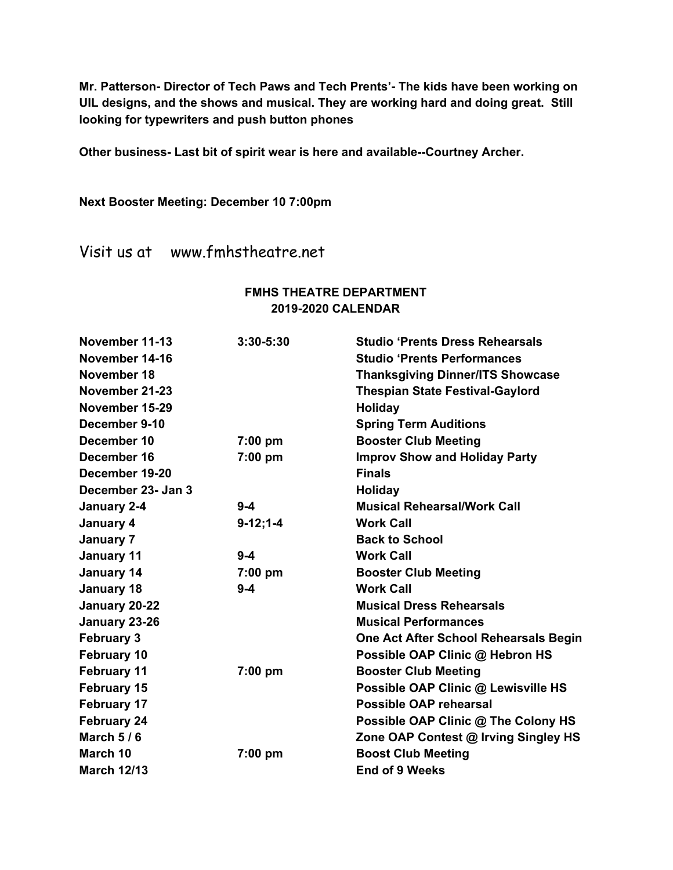**Mr. Patterson- Director of Tech Paws and Tech Prents'- The kids have been working on UIL designs, and the shows and musical. They are working hard and doing great. Still looking for typewriters and push button phones**

**Other business- Last bit of spirit wear is here and available--Courtney Archer.**

**Next Booster Meeting: December 10 7:00pm**

Visit us at www.fmhstheatre.net

#### **FMHS THEATRE DEPARTMENT 2019-2020 CALENDAR**

| November 11-13     | 3:30-5:30  | <b>Studio 'Prents Dress Rehearsals</b>  |
|--------------------|------------|-----------------------------------------|
| November 14-16     |            | <b>Studio 'Prents Performances</b>      |
| November 18        |            | <b>Thanksgiving Dinner/ITS Showcase</b> |
| November 21-23     |            | <b>Thespian State Festival-Gaylord</b>  |
| November 15-29     |            | Holiday                                 |
| December 9-10      |            | <b>Spring Term Auditions</b>            |
| December 10        | $7:00$ pm  | <b>Booster Club Meeting</b>             |
| December 16        | $7:00$ pm  | <b>Improv Show and Holiday Party</b>    |
| December 19-20     |            | <b>Finals</b>                           |
| December 23- Jan 3 |            | Holiday                                 |
| January 2-4        | $9 - 4$    | <b>Musical Rehearsal/Work Call</b>      |
| January 4          | $9-12;1-4$ | <b>Work Call</b>                        |
| January 7          |            | <b>Back to School</b>                   |
| <b>January 11</b>  | $9 - 4$    | <b>Work Call</b>                        |
| January 14         | 7:00 pm    | <b>Booster Club Meeting</b>             |
| January 18         | $9 - 4$    | <b>Work Call</b>                        |
| January 20-22      |            | <b>Musical Dress Rehearsals</b>         |
| January 23-26      |            | <b>Musical Performances</b>             |
| <b>February 3</b>  |            | One Act After School Rehearsals Begin   |
| <b>February 10</b> |            | Possible OAP Clinic @ Hebron HS         |
| <b>February 11</b> | 7:00 pm    | <b>Booster Club Meeting</b>             |
| <b>February 15</b> |            | Possible OAP Clinic @ Lewisville HS     |
| <b>February 17</b> |            | <b>Possible OAP rehearsal</b>           |
| <b>February 24</b> |            | Possible OAP Clinic @ The Colony HS     |
| March $5/6$        |            | Zone OAP Contest @ Irving Singley HS    |
| March 10           | $7:00$ pm  | <b>Boost Club Meeting</b>               |
| <b>March 12/13</b> |            | <b>End of 9 Weeks</b>                   |
|                    |            |                                         |